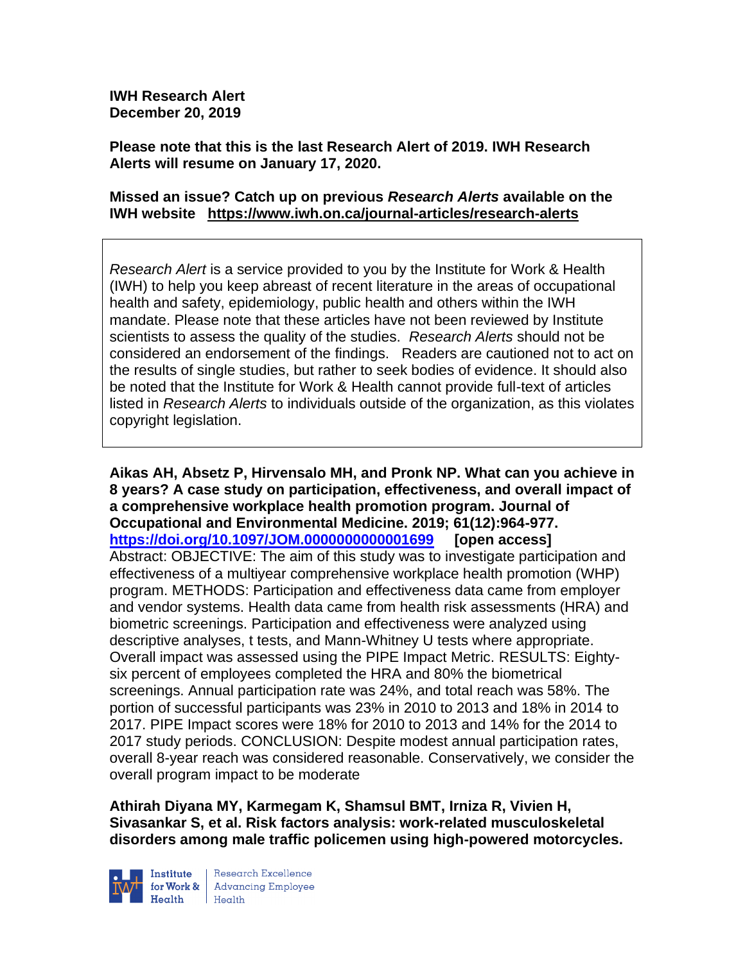**IWH Research Alert December 20, 2019**

**Please note that this is the last Research Alert of 2019. IWH Research Alerts will resume on January 17, 2020.**

## **Missed an issue? Catch up on previous** *Research Alerts* **available on the [IWH website](http://www.iwh.on.ca/research-alerts) <https://www.iwh.on.ca/journal-articles/research-alerts>**

*Research Alert* is a service provided to you by the Institute for Work & Health (IWH) to help you keep abreast of recent literature in the areas of occupational health and safety, epidemiology, public health and others within the IWH mandate. Please note that these articles have not been reviewed by Institute scientists to assess the quality of the studies. *Research Alerts* should not be considered an endorsement of the findings. Readers are cautioned not to act on the results of single studies, but rather to seek bodies of evidence. It should also be noted that the Institute for Work & Health cannot provide full-text of articles listed in *Research Alerts* to individuals outside of the organization, as this violates copyright legislation.

**Aikas AH, Absetz P, Hirvensalo MH, and Pronk NP. What can you achieve in 8 years? A case study on participation, effectiveness, and overall impact of a comprehensive workplace health promotion program. Journal of Occupational and Environmental Medicine. 2019; 61(12):964-977. <https://doi.org/10.1097/JOM.0000000000001699> [open access]** Abstract: OBJECTIVE: The aim of this study was to investigate participation and effectiveness of a multiyear comprehensive workplace health promotion (WHP) program. METHODS: Participation and effectiveness data came from employer and vendor systems. Health data came from health risk assessments (HRA) and biometric screenings. Participation and effectiveness were analyzed using descriptive analyses, t tests, and Mann-Whitney U tests where appropriate. Overall impact was assessed using the PIPE Impact Metric. RESULTS: Eightysix percent of employees completed the HRA and 80% the biometrical screenings. Annual participation rate was 24%, and total reach was 58%. The portion of successful participants was 23% in 2010 to 2013 and 18% in 2014 to 2017. PIPE Impact scores were 18% for 2010 to 2013 and 14% for the 2014 to 2017 study periods. CONCLUSION: Despite modest annual participation rates, overall 8-year reach was considered reasonable. Conservatively, we consider the overall program impact to be moderate

**Athirah Diyana MY, Karmegam K, Shamsul BMT, Irniza R, Vivien H, Sivasankar S, et al. Risk factors analysis: work-related musculoskeletal disorders among male traffic policemen using high-powered motorcycles.** 



Research Excellence for Work & | Advancing Employee  $H_{\text{eath}}$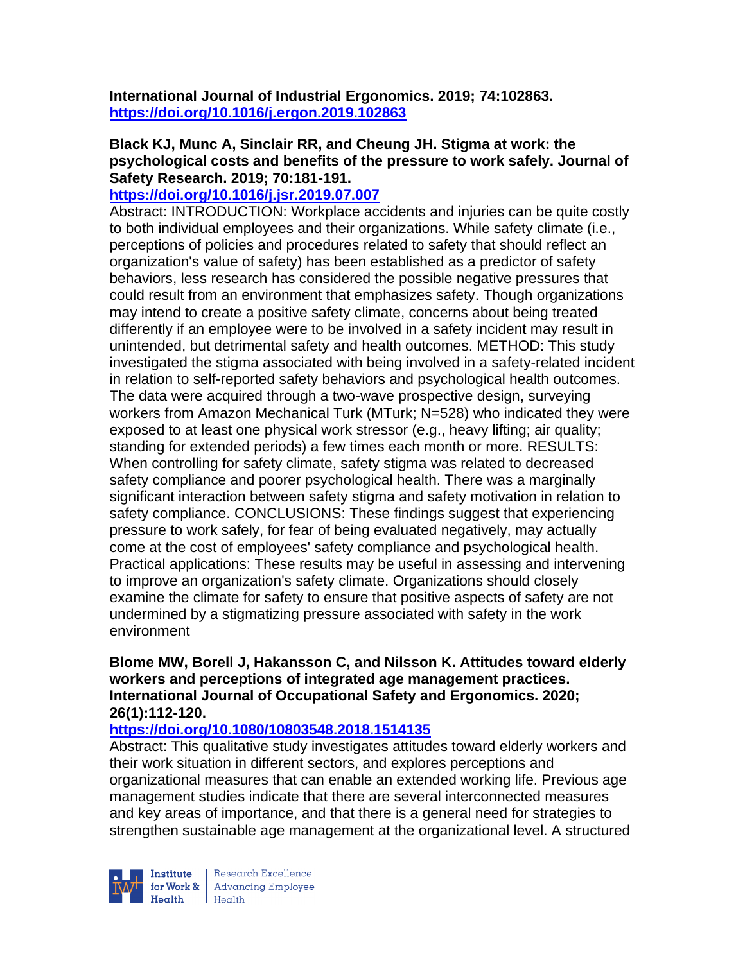**International Journal of Industrial Ergonomics. 2019; 74:102863. <https://doi.org/10.1016/j.ergon.2019.102863>**

## **Black KJ, Munc A, Sinclair RR, and Cheung JH. Stigma at work: the psychological costs and benefits of the pressure to work safely. Journal of Safety Research. 2019; 70:181-191.**

## **<https://doi.org/10.1016/j.jsr.2019.07.007>**

Abstract: INTRODUCTION: Workplace accidents and injuries can be quite costly to both individual employees and their organizations. While safety climate (i.e., perceptions of policies and procedures related to safety that should reflect an organization's value of safety) has been established as a predictor of safety behaviors, less research has considered the possible negative pressures that could result from an environment that emphasizes safety. Though organizations may intend to create a positive safety climate, concerns about being treated differently if an employee were to be involved in a safety incident may result in unintended, but detrimental safety and health outcomes. METHOD: This study investigated the stigma associated with being involved in a safety-related incident in relation to self-reported safety behaviors and psychological health outcomes. The data were acquired through a two-wave prospective design, surveying workers from Amazon Mechanical Turk (MTurk; N=528) who indicated they were exposed to at least one physical work stressor (e.g., heavy lifting; air quality; standing for extended periods) a few times each month or more. RESULTS: When controlling for safety climate, safety stigma was related to decreased safety compliance and poorer psychological health. There was a marginally significant interaction between safety stigma and safety motivation in relation to safety compliance. CONCLUSIONS: These findings suggest that experiencing pressure to work safely, for fear of being evaluated negatively, may actually come at the cost of employees' safety compliance and psychological health. Practical applications: These results may be useful in assessing and intervening to improve an organization's safety climate. Organizations should closely examine the climate for safety to ensure that positive aspects of safety are not undermined by a stigmatizing pressure associated with safety in the work environment

## **Blome MW, Borell J, Hakansson C, and Nilsson K. Attitudes toward elderly workers and perceptions of integrated age management practices. International Journal of Occupational Safety and Ergonomics. 2020; 26(1):112-120.**

## **<https://doi.org/10.1080/10803548.2018.1514135>**

Abstract: This qualitative study investigates attitudes toward elderly workers and their work situation in different sectors, and explores perceptions and organizational measures that can enable an extended working life. Previous age management studies indicate that there are several interconnected measures and key areas of importance, and that there is a general need for strategies to strengthen sustainable age management at the organizational level. A structured

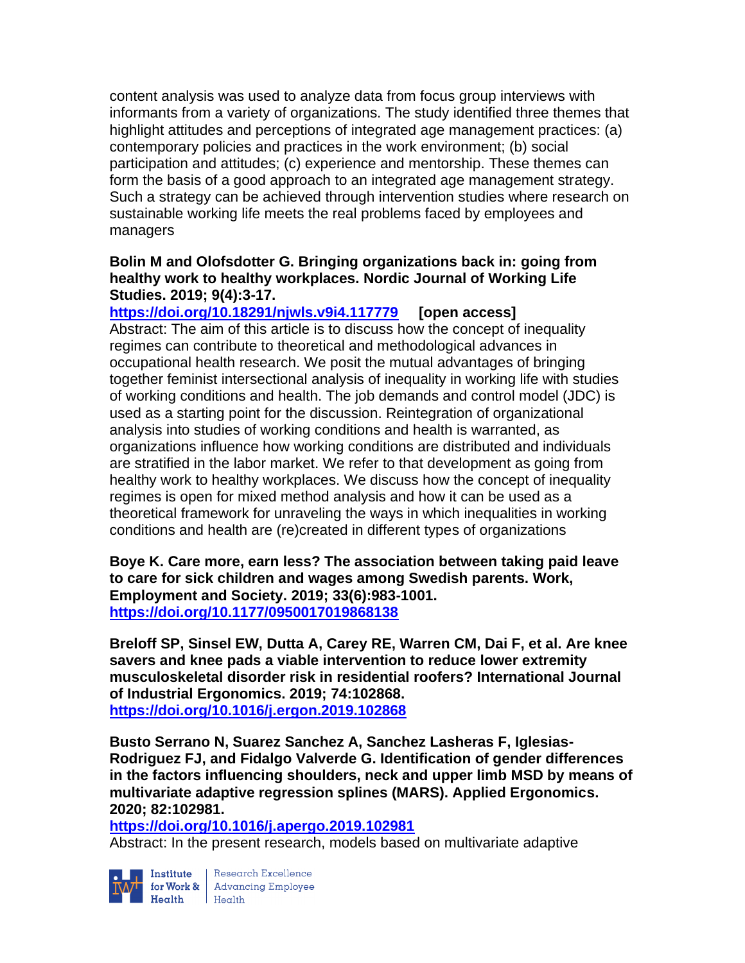content analysis was used to analyze data from focus group interviews with informants from a variety of organizations. The study identified three themes that highlight attitudes and perceptions of integrated age management practices: (a) contemporary policies and practices in the work environment; (b) social participation and attitudes; (c) experience and mentorship. These themes can form the basis of a good approach to an integrated age management strategy. Such a strategy can be achieved through intervention studies where research on sustainable working life meets the real problems faced by employees and managers

## **Bolin M and Olofsdotter G. Bringing organizations back in: going from healthy work to healthy workplaces. Nordic Journal of Working Life Studies. 2019; 9(4):3-17.**

**<https://doi.org/10.18291/njwls.v9i4.117779> [open access]** Abstract: The aim of this article is to discuss how the concept of inequality regimes can contribute to theoretical and methodological advances in occupational health research. We posit the mutual advantages of bringing together feminist intersectional analysis of inequality in working life with studies of working conditions and health. The job demands and control model (JDC) is used as a starting point for the discussion. Reintegration of organizational analysis into studies of working conditions and health is warranted, as organizations influence how working conditions are distributed and individuals are stratified in the labor market. We refer to that development as going from healthy work to healthy workplaces. We discuss how the concept of inequality regimes is open for mixed method analysis and how it can be used as a theoretical framework for unraveling the ways in which inequalities in working conditions and health are (re)created in different types of organizations

**Boye K. Care more, earn less? The association between taking paid leave to care for sick children and wages among Swedish parents. Work, Employment and Society. 2019; 33(6):983-1001. <https://doi.org/10.1177/0950017019868138>** 

**Breloff SP, Sinsel EW, Dutta A, Carey RE, Warren CM, Dai F, et al. Are knee savers and knee pads a viable intervention to reduce lower extremity musculoskeletal disorder risk in residential roofers? International Journal of Industrial Ergonomics. 2019; 74:102868. <https://doi.org/10.1016/j.ergon.2019.102868>** 

**Busto Serrano N, Suarez Sanchez A, Sanchez Lasheras F, Iglesias-Rodriguez FJ, and Fidalgo Valverde G. Identification of gender differences in the factors influencing shoulders, neck and upper limb MSD by means of multivariate adaptive regression splines (MARS). Applied Ergonomics. 2020; 82:102981.**

**<https://doi.org/10.1016/j.apergo.2019.102981>** 

Abstract: In the present research, models based on multivariate adaptive



Institute Research Excellence<br>
for Work & Advancing Employee<br>
Health Health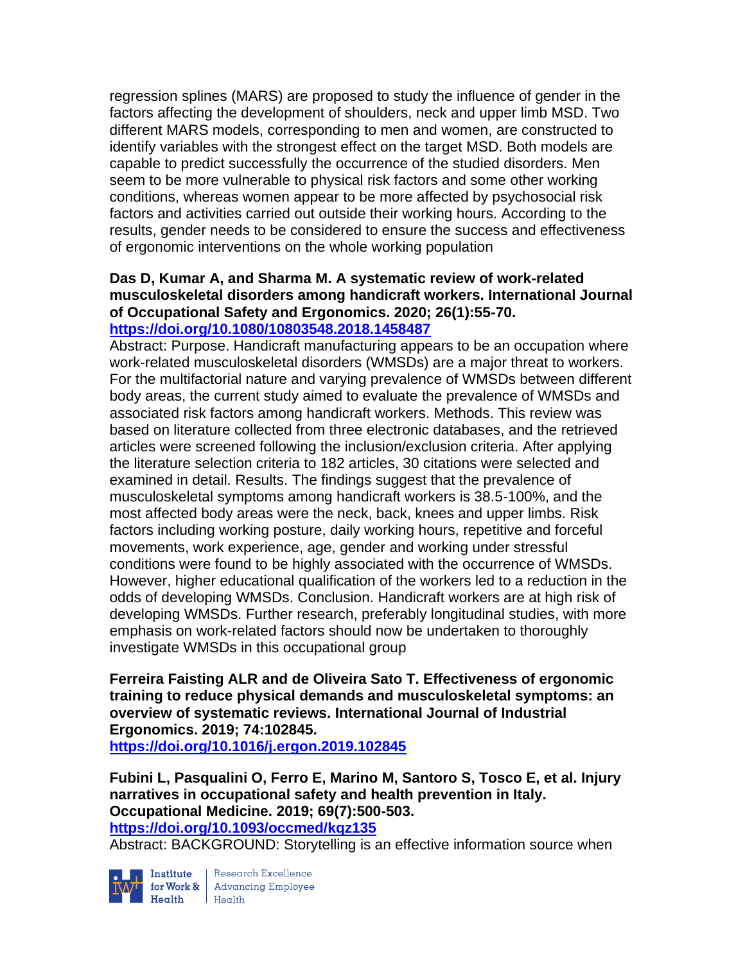regression splines (MARS) are proposed to study the influence of gender in the factors affecting the development of shoulders, neck and upper limb MSD. Two different MARS models, corresponding to men and women, are constructed to identify variables with the strongest effect on the target MSD. Both models are capable to predict successfully the occurrence of the studied disorders. Men seem to be more vulnerable to physical risk factors and some other working conditions, whereas women appear to be more affected by psychosocial risk factors and activities carried out outside their working hours. According to the results, gender needs to be considered to ensure the success and effectiveness of ergonomic interventions on the whole working population

#### **Das D, Kumar A, and Sharma M. A systematic review of work-related musculoskeletal disorders among handicraft workers. International Journal of Occupational Safety and Ergonomics. 2020; 26(1):55-70. <https://doi.org/10.1080/10803548.2018.1458487>**

Abstract: Purpose. Handicraft manufacturing appears to be an occupation where work-related musculoskeletal disorders (WMSDs) are a major threat to workers. For the multifactorial nature and varying prevalence of WMSDs between different body areas, the current study aimed to evaluate the prevalence of WMSDs and associated risk factors among handicraft workers. Methods. This review was based on literature collected from three electronic databases, and the retrieved articles were screened following the inclusion/exclusion criteria. After applying the literature selection criteria to 182 articles, 30 citations were selected and examined in detail. Results. The findings suggest that the prevalence of musculoskeletal symptoms among handicraft workers is 38.5-100%, and the most affected body areas were the neck, back, knees and upper limbs. Risk factors including working posture, daily working hours, repetitive and forceful movements, work experience, age, gender and working under stressful conditions were found to be highly associated with the occurrence of WMSDs. However, higher educational qualification of the workers led to a reduction in the odds of developing WMSDs. Conclusion. Handicraft workers are at high risk of developing WMSDs. Further research, preferably longitudinal studies, with more emphasis on work-related factors should now be undertaken to thoroughly investigate WMSDs in this occupational group

# **Ferreira Faisting ALR and de Oliveira Sato T. Effectiveness of ergonomic training to reduce physical demands and musculoskeletal symptoms: an overview of systematic reviews. International Journal of Industrial Ergonomics. 2019; 74:102845.**

**<https://doi.org/10.1016/j.ergon.2019.102845>** 

## **Fubini L, Pasqualini O, Ferro E, Marino M, Santoro S, Tosco E, et al. Injury narratives in occupational safety and health prevention in Italy. Occupational Medicine. 2019; 69(7):500-503.**

**<https://doi.org/10.1093/occmed/kqz135>** 

Abstract: BACKGROUND: Storytelling is an effective information source when



Institute Research Excellence<br>
for Work & Advancing Employee<br>
Health Health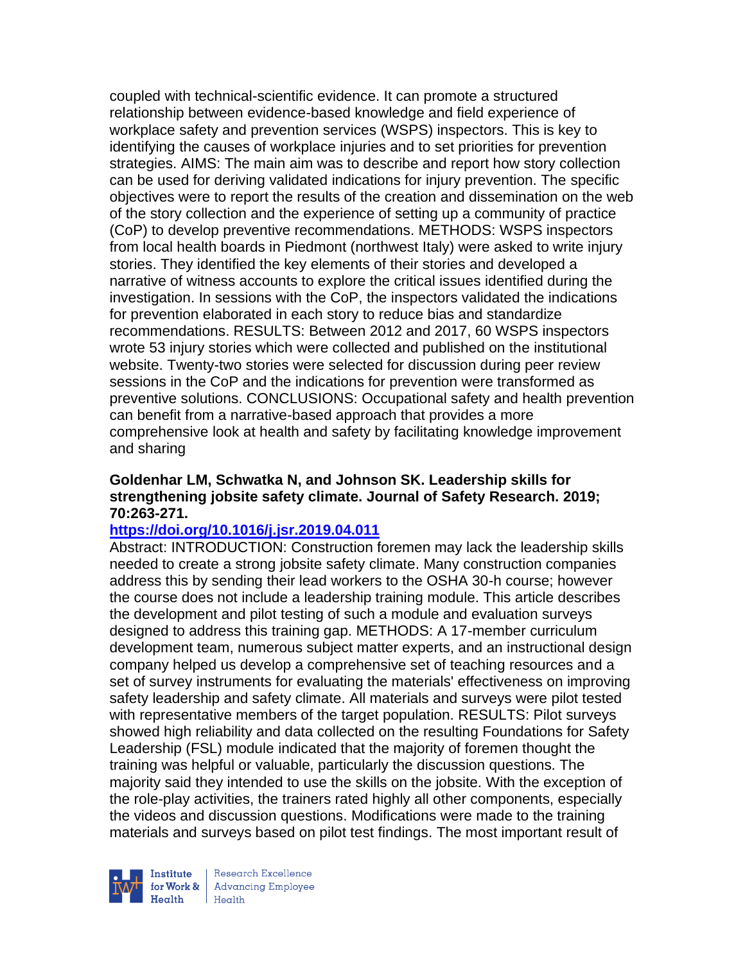coupled with technical-scientific evidence. It can promote a structured relationship between evidence-based knowledge and field experience of workplace safety and prevention services (WSPS) inspectors. This is key to identifying the causes of workplace injuries and to set priorities for prevention strategies. AIMS: The main aim was to describe and report how story collection can be used for deriving validated indications for injury prevention. The specific objectives were to report the results of the creation and dissemination on the web of the story collection and the experience of setting up a community of practice (CoP) to develop preventive recommendations. METHODS: WSPS inspectors from local health boards in Piedmont (northwest Italy) were asked to write injury stories. They identified the key elements of their stories and developed a narrative of witness accounts to explore the critical issues identified during the investigation. In sessions with the CoP, the inspectors validated the indications for prevention elaborated in each story to reduce bias and standardize recommendations. RESULTS: Between 2012 and 2017, 60 WSPS inspectors wrote 53 injury stories which were collected and published on the institutional website. Twenty-two stories were selected for discussion during peer review sessions in the CoP and the indications for prevention were transformed as preventive solutions. CONCLUSIONS: Occupational safety and health prevention can benefit from a narrative-based approach that provides a more comprehensive look at health and safety by facilitating knowledge improvement and sharing

## **Goldenhar LM, Schwatka N, and Johnson SK. Leadership skills for strengthening jobsite safety climate. Journal of Safety Research. 2019; 70:263-271.**

## **<https://doi.org/10.1016/j.jsr.2019.04.011>**

Abstract: INTRODUCTION: Construction foremen may lack the leadership skills needed to create a strong jobsite safety climate. Many construction companies address this by sending their lead workers to the OSHA 30-h course; however the course does not include a leadership training module. This article describes the development and pilot testing of such a module and evaluation surveys designed to address this training gap. METHODS: A 17-member curriculum development team, numerous subject matter experts, and an instructional design company helped us develop a comprehensive set of teaching resources and a set of survey instruments for evaluating the materials' effectiveness on improving safety leadership and safety climate. All materials and surveys were pilot tested with representative members of the target population. RESULTS: Pilot surveys showed high reliability and data collected on the resulting Foundations for Safety Leadership (FSL) module indicated that the majority of foremen thought the training was helpful or valuable, particularly the discussion questions. The majority said they intended to use the skills on the jobsite. With the exception of the role-play activities, the trainers rated highly all other components, especially the videos and discussion questions. Modifications were made to the training materials and surveys based on pilot test findings. The most important result of



Research Excellence for Work & | Advancing Employee Health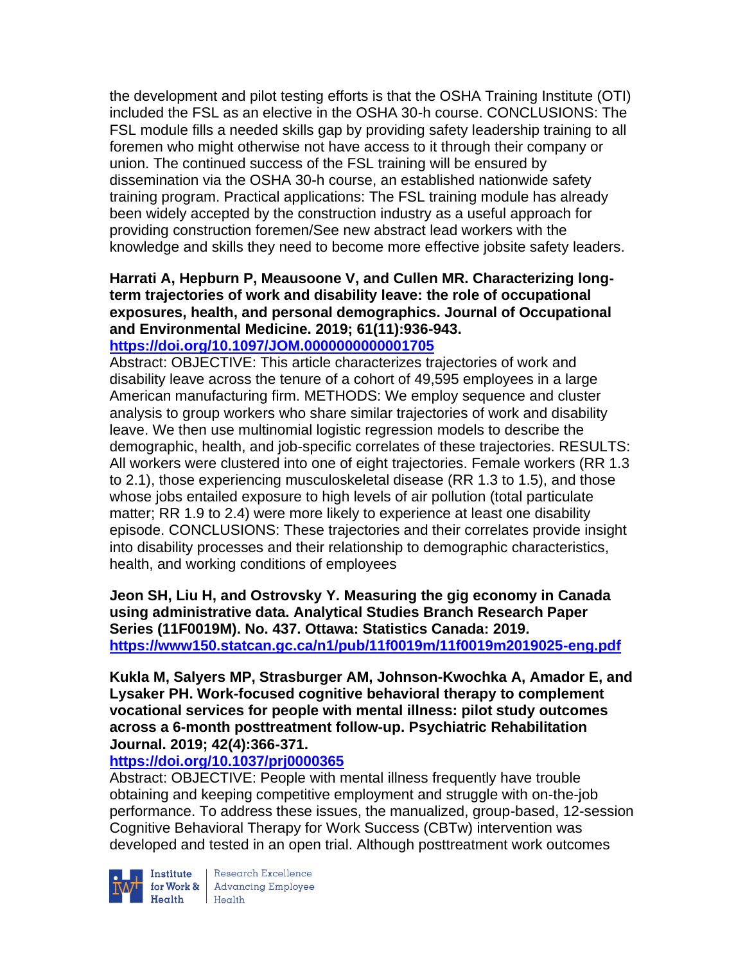the development and pilot testing efforts is that the OSHA Training Institute (OTI) included the FSL as an elective in the OSHA 30-h course. CONCLUSIONS: The FSL module fills a needed skills gap by providing safety leadership training to all foremen who might otherwise not have access to it through their company or union. The continued success of the FSL training will be ensured by dissemination via the OSHA 30-h course, an established nationwide safety training program. Practical applications: The FSL training module has already been widely accepted by the construction industry as a useful approach for providing construction foremen/See new abstract lead workers with the knowledge and skills they need to become more effective jobsite safety leaders.

## **Harrati A, Hepburn P, Meausoone V, and Cullen MR. Characterizing longterm trajectories of work and disability leave: the role of occupational exposures, health, and personal demographics. Journal of Occupational and Environmental Medicine. 2019; 61(11):936-943.**

## **<https://doi.org/10.1097/JOM.0000000000001705>**

Abstract: OBJECTIVE: This article characterizes trajectories of work and disability leave across the tenure of a cohort of 49,595 employees in a large American manufacturing firm. METHODS: We employ sequence and cluster analysis to group workers who share similar trajectories of work and disability leave. We then use multinomial logistic regression models to describe the demographic, health, and job-specific correlates of these trajectories. RESULTS: All workers were clustered into one of eight trajectories. Female workers (RR 1.3 to 2.1), those experiencing musculoskeletal disease (RR 1.3 to 1.5), and those whose jobs entailed exposure to high levels of air pollution (total particulate matter; RR 1.9 to 2.4) were more likely to experience at least one disability episode. CONCLUSIONS: These trajectories and their correlates provide insight into disability processes and their relationship to demographic characteristics, health, and working conditions of employees

**Jeon SH, Liu H, and Ostrovsky Y. Measuring the gig economy in Canada using administrative data. Analytical Studies Branch Research Paper Series (11F0019M). No. 437. Ottawa: Statistics Canada: 2019. <https://www150.statcan.gc.ca/n1/pub/11f0019m/11f0019m2019025-eng.pdf>**

**Kukla M, Salyers MP, Strasburger AM, Johnson-Kwochka A, Amador E, and Lysaker PH. Work-focused cognitive behavioral therapy to complement vocational services for people with mental illness: pilot study outcomes across a 6-month posttreatment follow-up. Psychiatric Rehabilitation Journal. 2019; 42(4):366-371.**

## **<https://doi.org/10.1037/prj0000365>**

Abstract: OBJECTIVE: People with mental illness frequently have trouble obtaining and keeping competitive employment and struggle with on-the-job performance. To address these issues, the manualized, group-based, 12-session Cognitive Behavioral Therapy for Work Success (CBTw) intervention was developed and tested in an open trial. Although posttreatment work outcomes



**Institute** Research Excellence<br> **for Work &** Advancing Employee<br> **Health** Health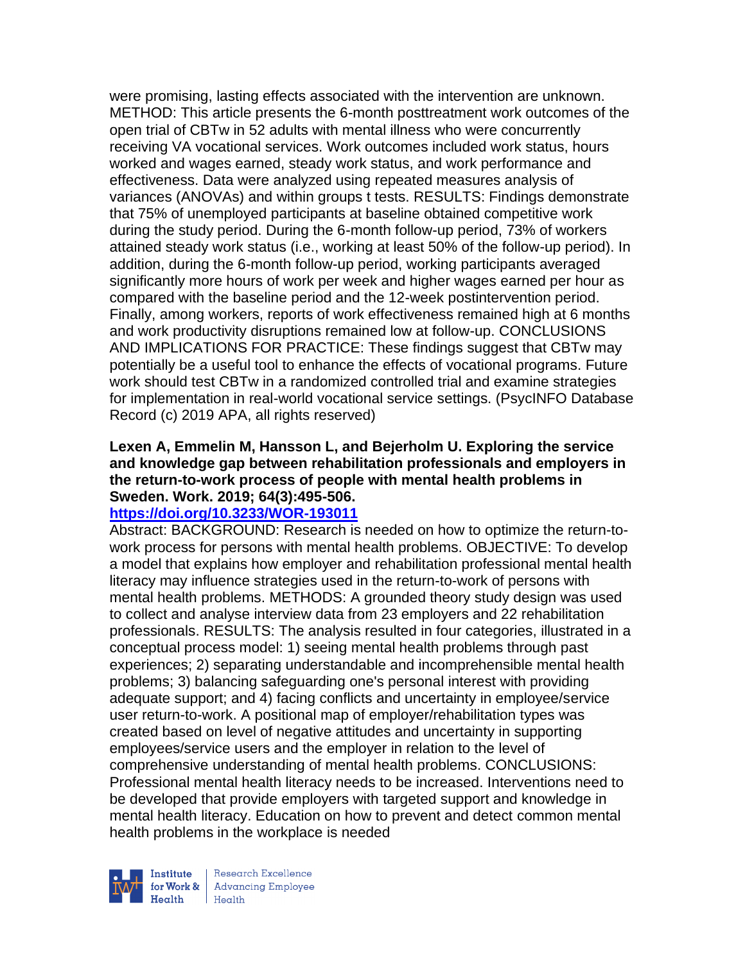were promising, lasting effects associated with the intervention are unknown. METHOD: This article presents the 6-month posttreatment work outcomes of the open trial of CBTw in 52 adults with mental illness who were concurrently receiving VA vocational services. Work outcomes included work status, hours worked and wages earned, steady work status, and work performance and effectiveness. Data were analyzed using repeated measures analysis of variances (ANOVAs) and within groups t tests. RESULTS: Findings demonstrate that 75% of unemployed participants at baseline obtained competitive work during the study period. During the 6-month follow-up period, 73% of workers attained steady work status (i.e., working at least 50% of the follow-up period). In addition, during the 6-month follow-up period, working participants averaged significantly more hours of work per week and higher wages earned per hour as compared with the baseline period and the 12-week postintervention period. Finally, among workers, reports of work effectiveness remained high at 6 months and work productivity disruptions remained low at follow-up. CONCLUSIONS AND IMPLICATIONS FOR PRACTICE: These findings suggest that CBTw may potentially be a useful tool to enhance the effects of vocational programs. Future work should test CBTw in a randomized controlled trial and examine strategies for implementation in real-world vocational service settings. (PsycINFO Database Record (c) 2019 APA, all rights reserved)

## **Lexen A, Emmelin M, Hansson L, and Bejerholm U. Exploring the service and knowledge gap between rehabilitation professionals and employers in the return-to-work process of people with mental health problems in Sweden. Work. 2019; 64(3):495-506.**

## **<https://doi.org/10.3233/WOR-193011>**

Abstract: BACKGROUND: Research is needed on how to optimize the return-towork process for persons with mental health problems. OBJECTIVE: To develop a model that explains how employer and rehabilitation professional mental health literacy may influence strategies used in the return-to-work of persons with mental health problems. METHODS: A grounded theory study design was used to collect and analyse interview data from 23 employers and 22 rehabilitation professionals. RESULTS: The analysis resulted in four categories, illustrated in a conceptual process model: 1) seeing mental health problems through past experiences; 2) separating understandable and incomprehensible mental health problems; 3) balancing safeguarding one's personal interest with providing adequate support; and 4) facing conflicts and uncertainty in employee/service user return-to-work. A positional map of employer/rehabilitation types was created based on level of negative attitudes and uncertainty in supporting employees/service users and the employer in relation to the level of comprehensive understanding of mental health problems. CONCLUSIONS: Professional mental health literacy needs to be increased. Interventions need to be developed that provide employers with targeted support and knowledge in mental health literacy. Education on how to prevent and detect common mental health problems in the workplace is needed



Research Excellence for Work & | Advancing Employee  $H_{\text{eath}}$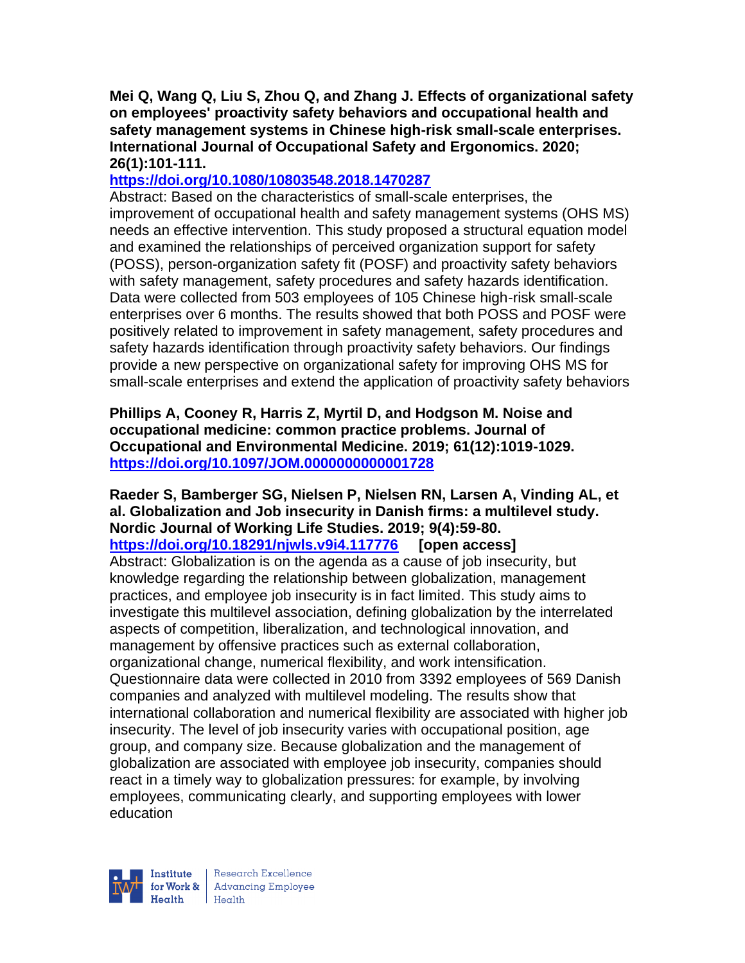**Mei Q, Wang Q, Liu S, Zhou Q, and Zhang J. Effects of organizational safety on employees' proactivity safety behaviors and occupational health and safety management systems in Chinese high-risk small-scale enterprises. International Journal of Occupational Safety and Ergonomics. 2020; 26(1):101-111.** 

## **<https://doi.org/10.1080/10803548.2018.1470287>**

Abstract: Based on the characteristics of small-scale enterprises, the improvement of occupational health and safety management systems (OHS MS) needs an effective intervention. This study proposed a structural equation model and examined the relationships of perceived organization support for safety (POSS), person-organization safety fit (POSF) and proactivity safety behaviors with safety management, safety procedures and safety hazards identification. Data were collected from 503 employees of 105 Chinese high-risk small-scale enterprises over 6 months. The results showed that both POSS and POSF were positively related to improvement in safety management, safety procedures and safety hazards identification through proactivity safety behaviors. Our findings provide a new perspective on organizational safety for improving OHS MS for small-scale enterprises and extend the application of proactivity safety behaviors

**Phillips A, Cooney R, Harris Z, Myrtil D, and Hodgson M. Noise and occupational medicine: common practice problems. Journal of Occupational and Environmental Medicine. 2019; 61(12):1019-1029. <https://doi.org/10.1097/JOM.0000000000001728>** 

#### **Raeder S, Bamberger SG, Nielsen P, Nielsen RN, Larsen A, Vinding AL, et al. Globalization and Job insecurity in Danish firms: a multilevel study. Nordic Journal of Working Life Studies. 2019; 9(4):59-80. <https://doi.org/10.18291/njwls.v9i4.117776> [open access]**

Abstract: Globalization is on the agenda as a cause of job insecurity, but knowledge regarding the relationship between globalization, management practices, and employee job insecurity is in fact limited. This study aims to investigate this multilevel association, defining globalization by the interrelated aspects of competition, liberalization, and technological innovation, and management by offensive practices such as external collaboration, organizational change, numerical flexibility, and work intensification. Questionnaire data were collected in 2010 from 3392 employees of 569 Danish companies and analyzed with multilevel modeling. The results show that international collaboration and numerical flexibility are associated with higher job insecurity. The level of job insecurity varies with occupational position, age group, and company size. Because globalization and the management of globalization are associated with employee job insecurity, companies should react in a timely way to globalization pressures: for example, by involving employees, communicating clearly, and supporting employees with lower education



| Research Excellence for Work & Advancing Employee<br>Health Health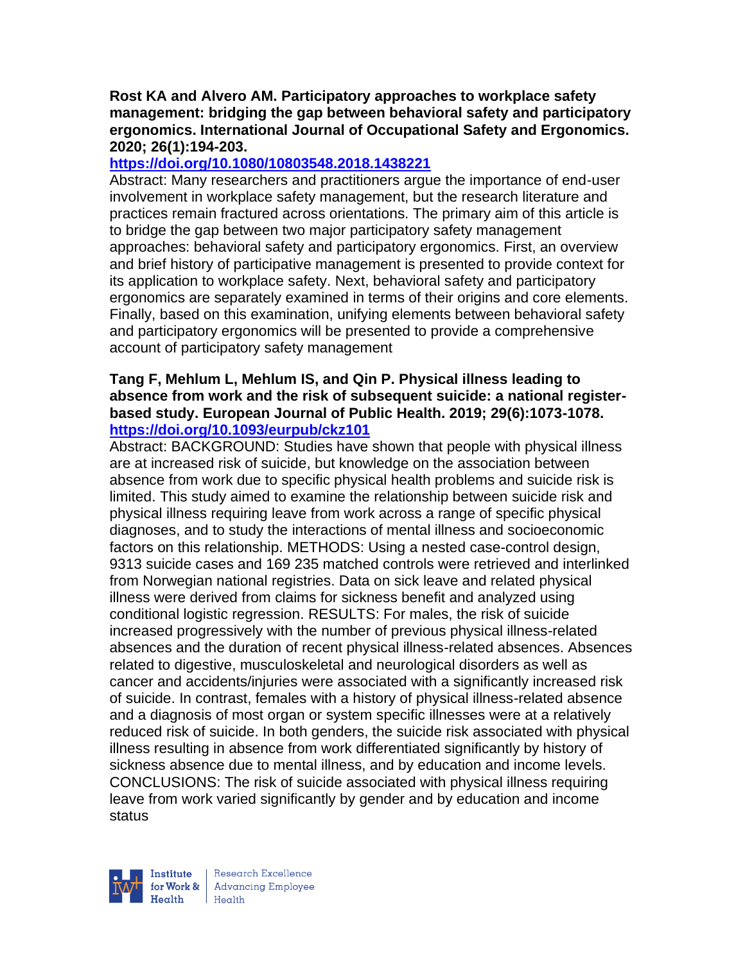## **Rost KA and Alvero AM. Participatory approaches to workplace safety management: bridging the gap between behavioral safety and participatory ergonomics. International Journal of Occupational Safety and Ergonomics. 2020; 26(1):194-203.**

# **<https://doi.org/10.1080/10803548.2018.1438221>**

Abstract: Many researchers and practitioners argue the importance of end-user involvement in workplace safety management, but the research literature and practices remain fractured across orientations. The primary aim of this article is to bridge the gap between two major participatory safety management approaches: behavioral safety and participatory ergonomics. First, an overview and brief history of participative management is presented to provide context for its application to workplace safety. Next, behavioral safety and participatory ergonomics are separately examined in terms of their origins and core elements. Finally, based on this examination, unifying elements between behavioral safety and participatory ergonomics will be presented to provide a comprehensive account of participatory safety management

## **Tang F, Mehlum L, Mehlum IS, and Qin P. Physical illness leading to absence from work and the risk of subsequent suicide: a national registerbased study. European Journal of Public Health. 2019; 29(6):1073-1078. <https://doi.org/10.1093/eurpub/ckz101>**

Abstract: BACKGROUND: Studies have shown that people with physical illness are at increased risk of suicide, but knowledge on the association between absence from work due to specific physical health problems and suicide risk is limited. This study aimed to examine the relationship between suicide risk and physical illness requiring leave from work across a range of specific physical diagnoses, and to study the interactions of mental illness and socioeconomic factors on this relationship. METHODS: Using a nested case-control design, 9313 suicide cases and 169 235 matched controls were retrieved and interlinked from Norwegian national registries. Data on sick leave and related physical illness were derived from claims for sickness benefit and analyzed using conditional logistic regression. RESULTS: For males, the risk of suicide increased progressively with the number of previous physical illness-related absences and the duration of recent physical illness-related absences. Absences related to digestive, musculoskeletal and neurological disorders as well as cancer and accidents/injuries were associated with a significantly increased risk of suicide. In contrast, females with a history of physical illness-related absence and a diagnosis of most organ or system specific illnesses were at a relatively reduced risk of suicide. In both genders, the suicide risk associated with physical illness resulting in absence from work differentiated significantly by history of sickness absence due to mental illness, and by education and income levels. CONCLUSIONS: The risk of suicide associated with physical illness requiring leave from work varied significantly by gender and by education and income status



Research Excellence for Work & Advancing Employee<br>Health Health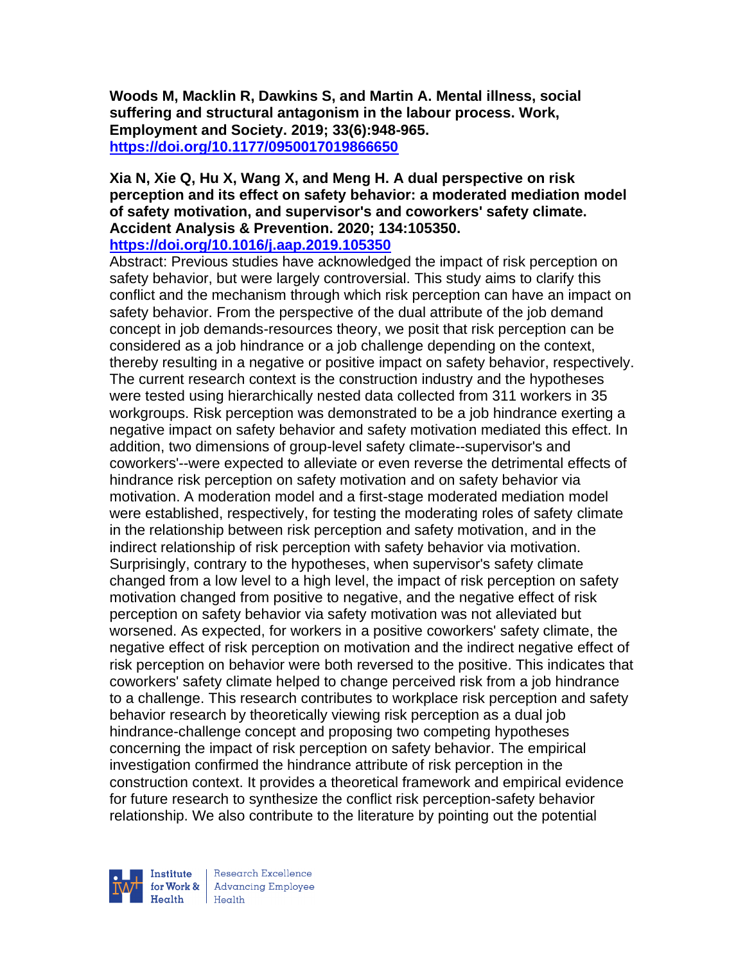**Woods M, Macklin R, Dawkins S, and Martin A. Mental illness, social suffering and structural antagonism in the labour process. Work, Employment and Society. 2019; 33(6):948-965. <https://doi.org/10.1177/0950017019866650>** 

#### **Xia N, Xie Q, Hu X, Wang X, and Meng H. A dual perspective on risk perception and its effect on safety behavior: a moderated mediation model of safety motivation, and supervisor's and coworkers' safety climate. Accident Analysis & Prevention. 2020; 134:105350. <https://doi.org/10.1016/j.aap.2019.105350>**

Abstract: Previous studies have acknowledged the impact of risk perception on safety behavior, but were largely controversial. This study aims to clarify this conflict and the mechanism through which risk perception can have an impact on safety behavior. From the perspective of the dual attribute of the job demand concept in job demands-resources theory, we posit that risk perception can be considered as a job hindrance or a job challenge depending on the context, thereby resulting in a negative or positive impact on safety behavior, respectively. The current research context is the construction industry and the hypotheses were tested using hierarchically nested data collected from 311 workers in 35 workgroups. Risk perception was demonstrated to be a job hindrance exerting a negative impact on safety behavior and safety motivation mediated this effect. In addition, two dimensions of group-level safety climate--supervisor's and coworkers'--were expected to alleviate or even reverse the detrimental effects of hindrance risk perception on safety motivation and on safety behavior via motivation. A moderation model and a first-stage moderated mediation model were established, respectively, for testing the moderating roles of safety climate in the relationship between risk perception and safety motivation, and in the indirect relationship of risk perception with safety behavior via motivation. Surprisingly, contrary to the hypotheses, when supervisor's safety climate changed from a low level to a high level, the impact of risk perception on safety motivation changed from positive to negative, and the negative effect of risk perception on safety behavior via safety motivation was not alleviated but worsened. As expected, for workers in a positive coworkers' safety climate, the negative effect of risk perception on motivation and the indirect negative effect of risk perception on behavior were both reversed to the positive. This indicates that coworkers' safety climate helped to change perceived risk from a job hindrance to a challenge. This research contributes to workplace risk perception and safety behavior research by theoretically viewing risk perception as a dual job hindrance-challenge concept and proposing two competing hypotheses concerning the impact of risk perception on safety behavior. The empirical investigation confirmed the hindrance attribute of risk perception in the construction context. It provides a theoretical framework and empirical evidence for future research to synthesize the conflict risk perception-safety behavior relationship. We also contribute to the literature by pointing out the potential



Research Excellence for Work & | Advancing Employee  $H_{\text{eath}}$